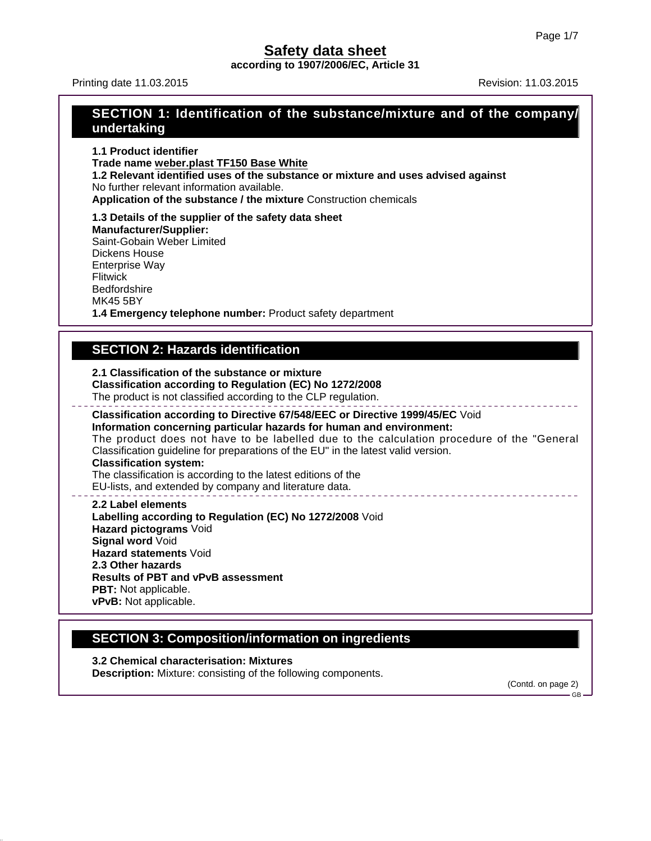**according to 1907/2006/EC, Article 31**

Printing date 11.03.2015 **Revision: 11.03.2015** Revision: 11.03.2015

## **SECTION 1: Identification of the substance/mixture and of the company/ undertaking**

**1.1 Product identifier Trade name weber.plast TF150 Base White 1.2 Relevant identified uses of the substance or mixture and uses advised against** No further relevant information available. **Application of the substance / the mixture** Construction chemicals

**1.3 Details of the supplier of the safety data sheet Manufacturer/Supplier:** Saint-Gobain Weber Limited Dickens House Enterprise Way Flitwick **Bedfordshire** MK45 5BY

**1.4 Emergency telephone number:** Product safety department

## **SECTION 2: Hazards identification**

**2.1 Classification of the substance or mixture**

**Classification according to Regulation (EC) No 1272/2008** The product is not classified according to the CLP regulation.

**Classification according to Directive 67/548/EEC or Directive 1999/45/EC** Void **Information concerning particular hazards for human and environment:** The product does not have to be labelled due to the calculation procedure of the "General Classification guideline for preparations of the EU" in the latest valid version. **Classification system:** The classification is according to the latest editions of the

EU-lists, and extended by company and literature data.

**2.2 Label elements Labelling according to Regulation (EC) No 1272/2008** Void **Hazard pictograms** Void **Signal word** Void **Hazard statements** Void **2.3 Other hazards Results of PBT and vPvB assessment PBT:** Not applicable. **vPvB:** Not applicable.

# **SECTION 3: Composition/information on ingredients**

**3.2 Chemical characterisation: Mixtures Description:** Mixture: consisting of the following components.

(Contd. on page 2)

GB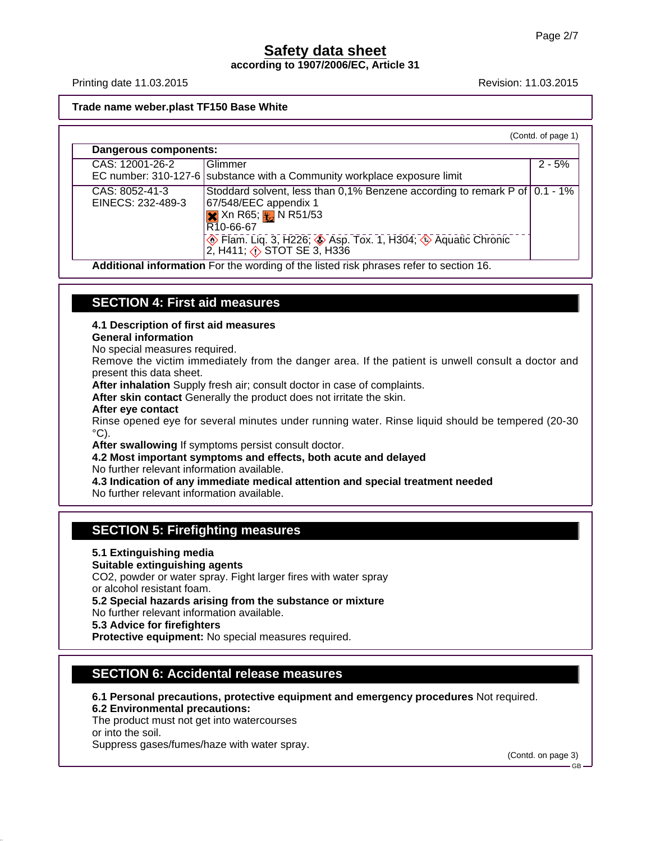**according to 1907/2006/EC, Article 31**

Printing date 11.03.2015 **Revision: 11.03.2015** Revision: 11.03.2015

#### **Trade name weber.plast TF150 Base White**

| Dangerous components:<br>CAS: 12001-26-2<br>Glimmer                                                                                                                                                                                                                                                                              |          |
|----------------------------------------------------------------------------------------------------------------------------------------------------------------------------------------------------------------------------------------------------------------------------------------------------------------------------------|----------|
|                                                                                                                                                                                                                                                                                                                                  |          |
| EC number: 310-127-6 substance with a Community workplace exposure limit                                                                                                                                                                                                                                                         | $2 - 5%$ |
| Stoddard solvent, less than 0,1% Benzene according to remark P of   0.1 - 1%<br>CAS: 8052-41-3<br>EINECS: 232-489-3<br>67/548/EEC appendix 1<br>$\frac{1}{2}$ Xn R65; $\frac{1}{2}$ N R51/53<br>R10-66-67<br><b>A</b> Flam. Liq. 3, H226; <b>A</b> Asp. Tox. 1, H304; <b>A</b> Aquatic Chronic 2, H411; <b>A</b> STOT SE 3, H336 |          |

**Additional information** For the wording of the listed risk phrases refer to section 16.

## **SECTION 4: First aid measures**

### **4.1 Description of first aid measures**

#### **General information**

No special measures required.

Remove the victim immediately from the danger area. If the patient is unwell consult a doctor and present this data sheet.

**After inhalation** Supply fresh air; consult doctor in case of complaints.

**After skin contact** Generally the product does not irritate the skin.

#### **After eye contact**

Rinse opened eye for several minutes under running water. Rinse liquid should be tempered (20-30  $\rm ^{\circ}C$ ).

**After swallowing** If symptoms persist consult doctor.

**4.2 Most important symptoms and effects, both acute and delayed**

No further relevant information available.

**4.3 Indication of any immediate medical attention and special treatment needed**

No further relevant information available.

### **SECTION 5: Firefighting measures**

### **5.1 Extinguishing media**

**Suitable extinguishing agents**

CO2, powder or water spray. Fight larger fires with water spray or alcohol resistant foam.

**5.2 Special hazards arising from the substance or mixture**

No further relevant information available.

**5.3 Advice for firefighters**

**Protective equipment:** No special measures required.

### **SECTION 6: Accidental release measures**

- **6.1 Personal precautions, protective equipment and emergency procedures** Not required.
- **6.2 Environmental precautions:**

The product must not get into watercourses or into the soil.

Suppress gases/fumes/haze with water spray.

(Contd. on page 3)

GB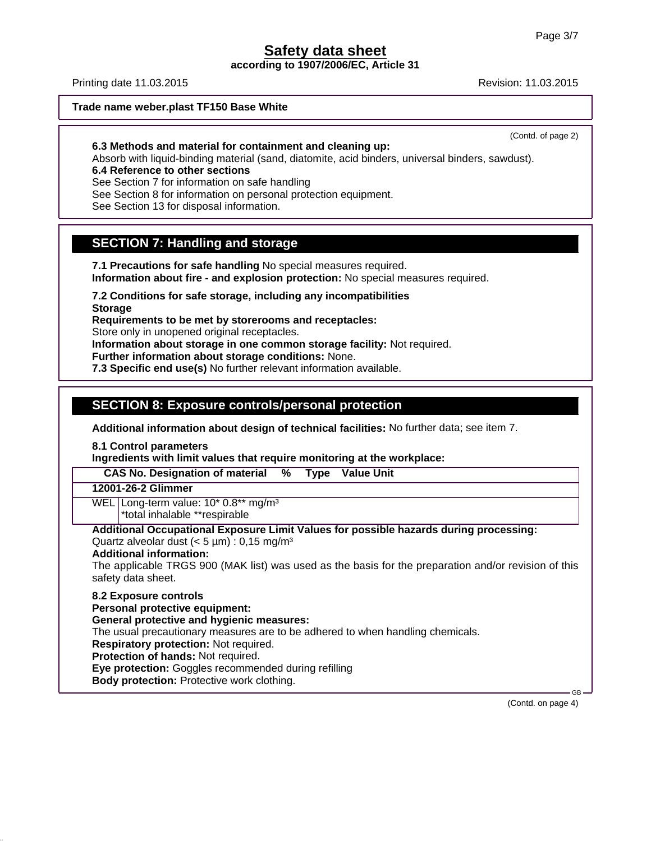**according to 1907/2006/EC, Article 31**

Printing date 11.03.2015 **Revision: 11.03.2015** Revision: 11.03.2015

**Trade name weber.plast TF150 Base White**

(Contd. of page 2)

**6.3 Methods and material for containment and cleaning up:**

Absorb with liquid-binding material (sand, diatomite, acid binders, universal binders, sawdust).

**6.4 Reference to other sections**

See Section 7 for information on safe handling

See Section 8 for information on personal protection equipment.

See Section 13 for disposal information.

## **SECTION 7: Handling and storage**

**7.1 Precautions for safe handling** No special measures required.

**Information about fire - and explosion protection:** No special measures required.

**7.2 Conditions for safe storage, including any incompatibilities**

**Storage**

**Requirements to be met by storerooms and receptacles:**

Store only in unopened original receptacles.

**Information about storage in one common storage facility:** Not required.

**Further information about storage conditions:** None.

**7.3 Specific end use(s)** No further relevant information available.

## **SECTION 8: Exposure controls/personal protection**

**Additional information about design of technical facilities:** No further data; see item 7.

**8.1 Control parameters**

**Ingredients with limit values that require monitoring at the workplace:**

 **CAS No. Designation of material % Type Value Unit**

### **12001-26-2 Glimmer**

WEL Long-term value: 10\* 0.8\*\* mg/m<sup>3</sup>

\*total inhalable \*\*respirable

#### **Additional Occupational Exposure Limit Values for possible hazards during processing:** Quartz alveolar dust  $(< 5 \mu m)$ : 0,15 mg/m<sup>3</sup>

### **Additional information:**

The applicable TRGS 900 (MAK list) was used as the basis for the preparation and/or revision of this safety data sheet.

### **8.2 Exposure controls**

**Personal protective equipment:**

**General protective and hygienic measures:**

The usual precautionary measures are to be adhered to when handling chemicals.

**Respiratory protection:** Not required.

**Protection of hands:** Not required.

**Eye protection:** Goggles recommended during refilling

**Body protection:** Protective work clothing.

 GB (Contd. on page 4)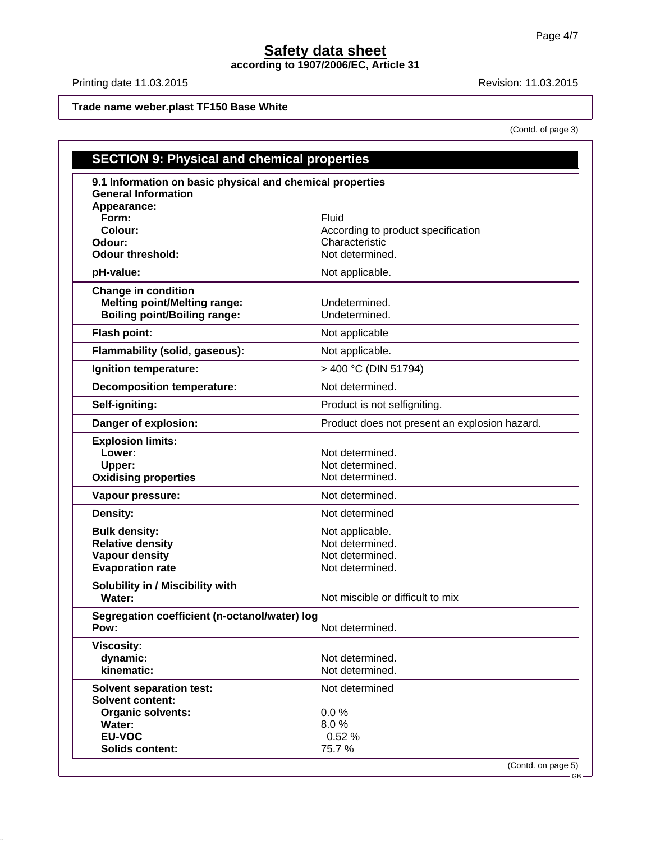**according to 1907/2006/EC, Article 31**

Printing date 11.03.2015 **Revision: 11.03.2015** 

(Contd. of page 3)

**Trade name weber.plast TF150 Base White**

| <b>SECTION 9: Physical and chemical properties</b>         |                                               |
|------------------------------------------------------------|-----------------------------------------------|
| 9.1 Information on basic physical and chemical properties  |                                               |
| <b>General Information</b>                                 |                                               |
| Appearance:                                                |                                               |
| Form:                                                      | Fluid                                         |
| Colour:                                                    | According to product specification            |
| Odour:                                                     | Characteristic                                |
| <b>Odour threshold:</b>                                    | Not determined.                               |
| pH-value:                                                  | Not applicable.                               |
| <b>Change in condition</b>                                 |                                               |
| <b>Melting point/Melting range:</b>                        | Undetermined.                                 |
| <b>Boiling point/Boiling range:</b>                        | Undetermined.                                 |
| Flash point:                                               | Not applicable                                |
| Flammability (solid, gaseous):                             | Not applicable.                               |
| Ignition temperature:                                      | > 400 °C (DIN 51794)                          |
| <b>Decomposition temperature:</b>                          | Not determined.                               |
| Self-igniting:                                             | Product is not selfigniting.                  |
| Danger of explosion:                                       | Product does not present an explosion hazard. |
| <b>Explosion limits:</b>                                   |                                               |
| Lower:                                                     | Not determined.                               |
| Upper:                                                     | Not determined.                               |
| <b>Oxidising properties</b>                                | Not determined.                               |
| Vapour pressure:                                           | Not determined.                               |
| <b>Density:</b>                                            | Not determined                                |
| <b>Bulk density:</b>                                       | Not applicable.                               |
| <b>Relative density</b>                                    | Not determined.                               |
| <b>Vapour density</b>                                      | Not determined.                               |
| <b>Evaporation rate</b>                                    | Not determined.                               |
| Solubility in / Miscibility with                           |                                               |
| Water:                                                     | Not miscible or difficult to mix              |
| Segregation coefficient (n-octanol/water) log<br>Pow:      | Not determined.                               |
|                                                            |                                               |
| <b>Viscosity:</b><br>dynamic:                              | Not determined.                               |
| kinematic:                                                 | Not determined.                               |
|                                                            |                                               |
| <b>Solvent separation test:</b><br><b>Solvent content:</b> | Not determined                                |
|                                                            | 0.0%                                          |
| <b>Organic solvents:</b><br>Water:                         | 8.0%                                          |
| <b>EU-VOC</b>                                              | 0.52%                                         |
| <b>Solids content:</b>                                     | 75.7%                                         |
|                                                            | (Contd. on page 5)                            |

GB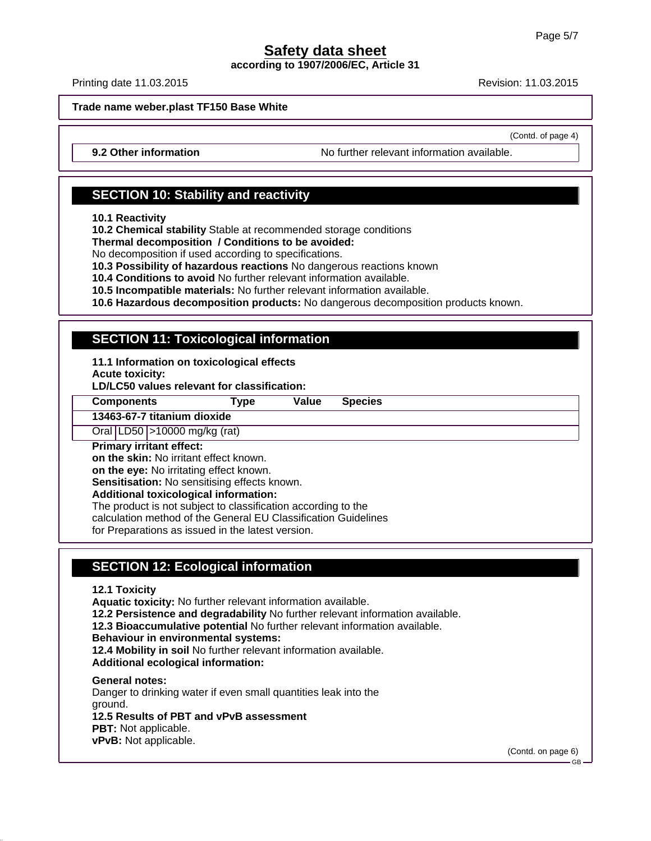**according to 1907/2006/EC, Article 31**

Printing date 11.03.2015 **Revision: 11.03.2015** Revision: 11.03.2015

(Contd. of page 4)

**Trade name weber.plast TF150 Base White**

**9.2 Other information** No further relevant information available.

## **SECTION 10: Stability and reactivity**

**10.1 Reactivity**

**10.2 Chemical stability** Stable at recommended storage conditions

**Thermal decomposition / Conditions to be avoided:**

No decomposition if used according to specifications.

**10.3 Possibility of hazardous reactions** No dangerous reactions known

**10.4 Conditions to avoid** No further relevant information available.

**10.5 Incompatible materials:** No further relevant information available.

**10.6 Hazardous decomposition products:** No dangerous decomposition products known.

## **SECTION 11: Toxicological information**

**11.1 Information on toxicological effects Acute toxicity:**

**LD/LC50 values relevant for classification:**

**Components Type Value Species**

**13463-67-7 titanium dioxide**

Oral LD50 >10000 mg/kg (rat)

### **Primary irritant effect:**

**on the skin:** No irritant effect known.

**on the eye:** No irritating effect known.

**Sensitisation:** No sensitising effects known.

#### **Additional toxicological information:**

The product is not subject to classification according to the

calculation method of the General EU Classification Guidelines

for Preparations as issued in the latest version.

### **SECTION 12: Ecological information**

**12.1 Toxicity**

**Aquatic toxicity:** No further relevant information available.

**12.2 Persistence and degradability** No further relevant information available.

**12.3 Bioaccumulative potential** No further relevant information available.

**Behaviour in environmental systems:**

**12.4 Mobility in soil** No further relevant information available.

**Additional ecological information:**

**General notes:**

Danger to drinking water if even small quantities leak into the ground. **12.5 Results of PBT and vPvB assessment**

**PBT:** Not applicable.

**vPvB:** Not applicable.

(Contd. on page 6)

GB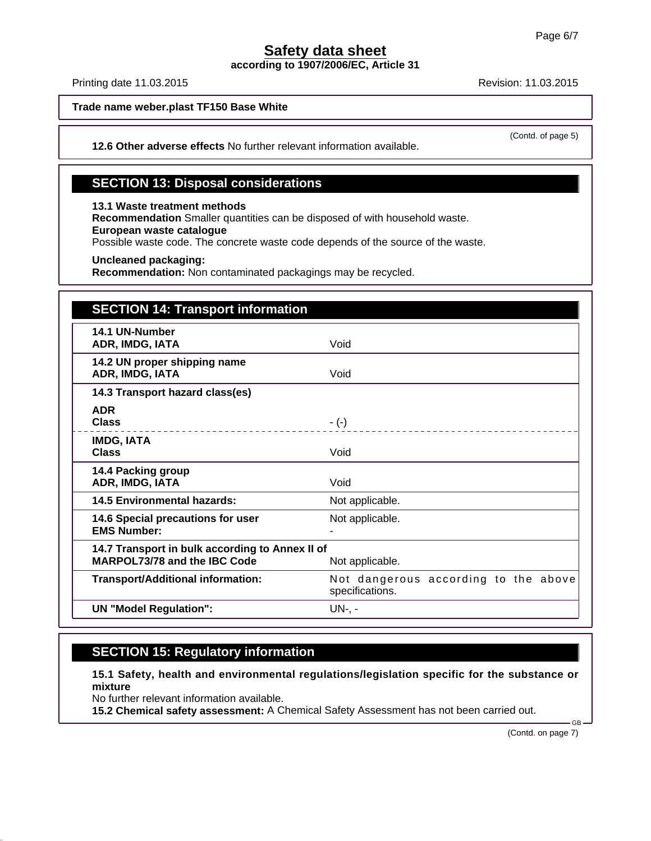**according to 1907/2006/EC, Article 31**

Printing date 11.03.2015 **Revision: 11.03.2015** Revision: 11.03.2015

**Trade name weber.plast TF150 Base White**

(Contd. of page 5)

**12.6 Other adverse effects** No further relevant information available.

## **SECTION 13: Disposal considerations**

**13.1 Waste treatment methods**

**Recommendation** Smaller quantities can be disposed of with household waste.

**European waste catalogue**

Possible waste code. The concrete waste code depends of the source of the waste.

**Uncleaned packaging:**

**Recommendation:** Non contaminated packagings may be recycled.

| <b>SECTION 14: Transport information</b>                                        |                                                         |
|---------------------------------------------------------------------------------|---------------------------------------------------------|
| 14.1 UN-Number<br>ADR, IMDG, IATA                                               | Void                                                    |
| 14.2 UN proper shipping name<br>ADR, IMDG, IATA                                 | Void                                                    |
| 14.3 Transport hazard class(es)                                                 |                                                         |
| <b>ADR</b><br><b>Class</b>                                                      | $-(-)$                                                  |
| <b>IMDG, IATA</b><br><b>Class</b>                                               | Void                                                    |
| 14.4 Packing group<br>ADR, IMDG, IATA                                           | Void                                                    |
| <b>14.5 Environmental hazards:</b>                                              | Not applicable.                                         |
| 14.6 Special precautions for user<br><b>EMS Number:</b>                         | Not applicable.                                         |
| 14.7 Transport in bulk according to Annex II of<br>MARPOL73/78 and the IBC Code | Not applicable.                                         |
| <b>Transport/Additional information:</b>                                        | Not dangerous according to the above<br>specifications. |
| <b>UN "Model Regulation":</b>                                                   | $UN-$ , -                                               |

## **SECTION 15: Regulatory information**

**15.1 Safety, health and environmental regulations/legislation specific for the substance or mixture**

No further relevant information available.

**15.2 Chemical safety assessment:** A Chemical Safety Assessment has not been carried out.

(Contd. on page 7)

.<br>GR